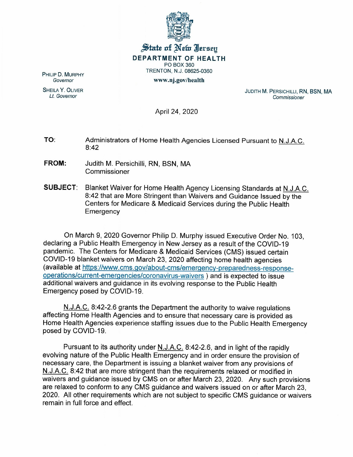

## $\frac{1}{2}$  state of Net Iersey **DEPARTMENT OF HEALTH** PO BOX 360 TRENTON, N.J. 08625-0360 www.nj.gov/health

PHILIP D. MURPHY *Governor*

SHEILA Y. OLIVER *Lt. Governor*

JUDITH M. PERSICHILLI, RN, BSN, MA *Commissioner*

April 24, 2020

TO: Administrators of Home Health Agencies Licensed Pursuant to N.J.A.C. 8:42

- **FROM:** Judith M. Persichilli, RN, BSN, MA Commissioner
- **SUBJECT:** Blanket Waiver for Home Health Agency Licensing Standards at N.J.A.C. 8:42 that are More Stringent than Waivers and Guidance Issued by the Centers for Medicare & Medicaid Services during the Public Health **Emergency**

On March 9, 2020 Governor Philip D. Murphy issued Executive Order No.1 03, declaring a Public Health Emergency in New Jersey as a result of the COVID-19 pandemic. The Centers for Medicare & Medicaid Services (CMS) issued certain COVID-19 blanket waivers on March 23,2020 affecting home health agencies (available at https://www.cms.gov/about -cms/emergency-prepared ness-responseoperations/current-emergencies/coronavirus-waivers ) and is expected to issue additional waivers and guidance in its evolving response to the Public Health Emergency posed by COVID-19.

N.J.A.C. 8:42-2.6 grants the Department the authority to waive regulations affecting Home Health Agencies and to ensure that necessary care is provided as Home Health Agencies experience staffing issues due to the Public Health Emergency posed by COVID-19.

Pursuant to its authority under N.J.A.C. 8:42-2.6, and in light of the rapidly evolving nature of the Public Health Emergency and in order ensure the provision of necessary care, the Department is issuing a blanket waiver from any provisions of N.J.A.C. 8:42 that are more stringent than the requirements relaxed or modified in waivers and guidance issued by CMS on or after March 23, 2020. Any such provisions are relaxed to conform to any CMS guidance and waivers issued on or after March 23, 2020. All other requirements which are not subject to specific CMS guidance or waivers remain in full force and effect.